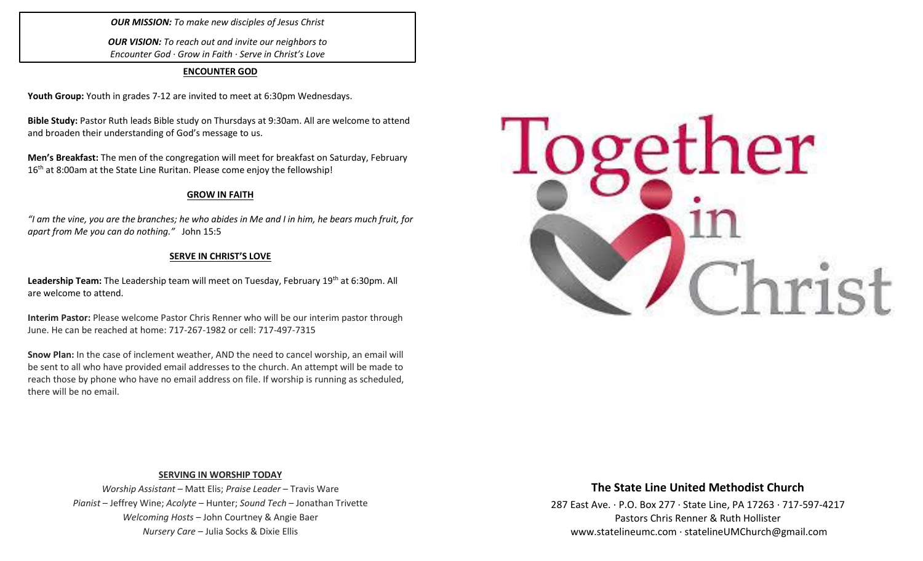## *OUR MISSION: To make new disciples of Jesus Christ*

*OUR VISION: To reach out and invite our neighbors to Encounter God · Grow in Faith · Serve in Christ's Love*

#### **ENCOUNTER GOD**

**Youth Group:** Youth in grades 7-12 are invited to meet at 6:30pm Wednesdays.

**Bible Study:** Pastor Ruth leads Bible study on Thursdays at 9:30am. All are welcome to attend and broaden their understanding of God's message to us.

**Men's Breakfast:** The men of the congregation will meet for breakfast on Saturday, February 16<sup>th</sup> at 8:00am at the State Line Ruritan. Please come enjoy the fellowship!

#### **GROW IN FAITH**

*"I am the vine, you are the branches; he who abides in Me and I in him, he bears much fruit, for apart from Me you can do nothing."* John 15:5

## **SERVE IN CHRIST'S LOVE**

Leadership Team: The Leadership team will meet on Tuesday, February 19<sup>th</sup> at 6:30pm. All are welcome to attend.

**Interim Pastor:** Please welcome Pastor Chris Renner who will be our interim pastor through June. He can be reached at home: 717-267-1982 or cell: 717-497-7315

**Snow Plan:** In the case of inclement weather, AND the need to cancel worship, an email will be sent to all who have provided email addresses to the church. An attempt will be made to reach those by phone who have no email address on file. If worship is running as scheduled, there will be no email.



#### **SERVING IN WORSHIP TODAY**

*Worship Assistant* – Matt Elis; *Praise Leader* – Travis Ware *Pianist* – Jeffrey Wine; *Acolyte* – Hunter; *Sound Tech* – Jonathan Trivette *Welcoming Hosts* – John Courtney & Angie Baer *Nursery Care* – Julia Socks & Dixie Ellis

## **The State Line United Methodist Church**

287 East Ave. · P.O. Box 277 · State Line, PA 17263 · 717-597-4217 Pastors Chris Renner & Ruth Hollister [www.statelineumc.com](http://www.statelineumc.com/) · statelineUMChurch@gmail.com